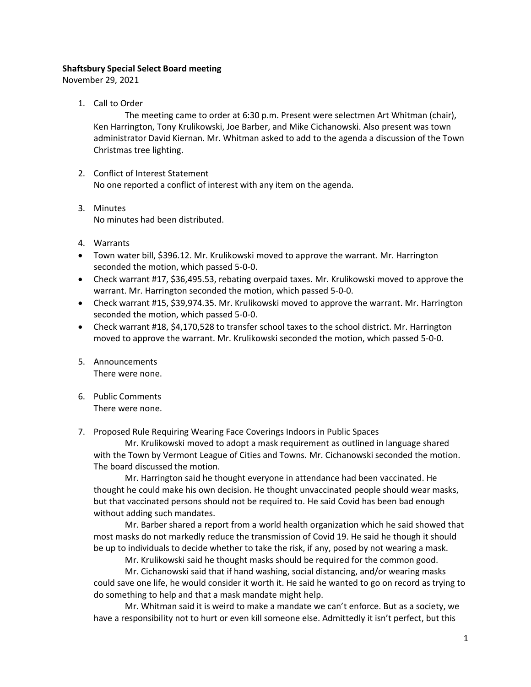# **Shaftsbury Special Select Board meeting**

November 29, 2021

1. Call to Order

The meeting came to order at 6:30 p.m. Present were selectmen Art Whitman (chair), Ken Harrington, Tony Krulikowski, Joe Barber, and Mike Cichanowski. Also present was town administrator David Kiernan. Mr. Whitman asked to add to the agenda a discussion of the Town Christmas tree lighting.

- 2. Conflict of Interest Statement No one reported a conflict of interest with any item on the agenda.
- 3. Minutes No minutes had been distributed.
- 4. Warrants
- Town water bill, \$396.12. Mr. Krulikowski moved to approve the warrant. Mr. Harrington seconded the motion, which passed 5-0-0.
- Check warrant #17, \$36,495.53, rebating overpaid taxes. Mr. Krulikowski moved to approve the warrant. Mr. Harrington seconded the motion, which passed 5-0-0.
- Check warrant #15, \$39,974.35. Mr. Krulikowski moved to approve the warrant. Mr. Harrington seconded the motion, which passed 5-0-0.
- Check warrant #18, \$4,170,528 to transfer school taxes to the school district. Mr. Harrington moved to approve the warrant. Mr. Krulikowski seconded the motion, which passed 5-0-0.
- 5. Announcements There were none.
- 6. Public Comments There were none.

7. Proposed Rule Requiring Wearing Face Coverings Indoors in Public Spaces

Mr. Krulikowski moved to adopt a mask requirement as outlined in language shared with the Town by Vermont League of Cities and Towns. Mr. Cichanowski seconded the motion. The board discussed the motion.

Mr. Harrington said he thought everyone in attendance had been vaccinated. He thought he could make his own decision. He thought unvaccinated people should wear masks, but that vaccinated persons should not be required to. He said Covid has been bad enough without adding such mandates.

Mr. Barber shared a report from a world health organization which he said showed that most masks do not markedly reduce the transmission of Covid 19. He said he though it should be up to individuals to decide whether to take the risk, if any, posed by not wearing a mask.

Mr. Krulikowski said he thought masks should be required for the common good.

Mr. Cichanowski said that if hand washing, social distancing, and/or wearing masks could save one life, he would consider it worth it. He said he wanted to go on record as trying to do something to help and that a mask mandate might help.

Mr. Whitman said it is weird to make a mandate we can't enforce. But as a society, we have a responsibility not to hurt or even kill someone else. Admittedly it isn't perfect, but this